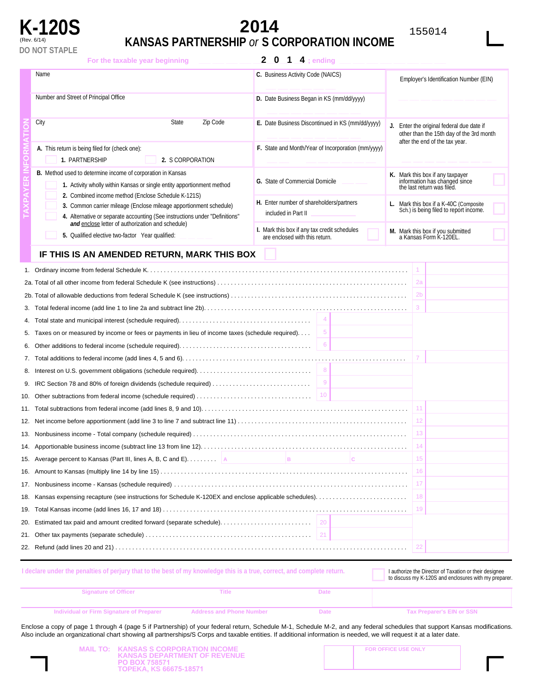

# **K-120S 2014** <sup>155014</sup>

# (Rev. 6/14) **KANSAS PARTNERSHIP** *or* **S CORPORATION INCOME**

| For the taxable year beginning                                                                                                                                                                           | $\mathbf{2}$<br>$\mathbf 0$<br>$\frac{1}{4}$ ; ending                          |                                                                                                 |  |
|----------------------------------------------------------------------------------------------------------------------------------------------------------------------------------------------------------|--------------------------------------------------------------------------------|-------------------------------------------------------------------------------------------------|--|
| Name                                                                                                                                                                                                     | C. Business Activity Code (NAICS)                                              | Employer's Identification Number (EIN)                                                          |  |
| Number and Street of Principal Office                                                                                                                                                                    | D. Date Business Began in KS (mm/dd/yyyy)                                      |                                                                                                 |  |
| City<br><b>State</b><br>Zip Code                                                                                                                                                                         | E. Date Business Discontinued in KS (mm/dd/yyyy)                               | J. Enter the original federal due date if<br>other than the 15th day of the 3rd month           |  |
| A. This return is being filed for (check one):<br>1. PARTNERSHIP<br>2. S CORPORATION                                                                                                                     | F. State and Month/Year of Incorporation (mm/yyyy)                             | after the end of the tax year.                                                                  |  |
| <b>B.</b> Method used to determine income of corporation in Kansas<br>1. Activity wholly within Kansas or single entity apportionment method                                                             | G. State of Commercial Domicile                                                | K. Mark this box if any taxpayer<br>information has changed since<br>the last return was filed. |  |
| 2. Combined income method (Enclose Schedule K-121S)<br>3. Common carrier mileage (Enclose mileage apportionment schedule)<br>4. Alternative or separate accounting (See instructions under "Definitions" | H. Enter number of shareholders/partners<br>included in Part II                | L. Mark this box if a K-40C (Composite<br>Sch.) is being filed to report income.                |  |
| and enclose letter of authorization and schedule)<br>5. Qualified elective two-factor Year qualified:                                                                                                    | I. Mark this box if any tax credit schedules<br>are enclosed with this return. | M. Mark this box if you submitted<br>a Kansas Form K-120EL.                                     |  |
| IF THIS IS AN AMENDED RETURN, MARK THIS BOX                                                                                                                                                              |                                                                                |                                                                                                 |  |
|                                                                                                                                                                                                          |                                                                                |                                                                                                 |  |
|                                                                                                                                                                                                          |                                                                                | 2a                                                                                              |  |
|                                                                                                                                                                                                          |                                                                                | 2 <sub>b</sub>                                                                                  |  |
|                                                                                                                                                                                                          |                                                                                |                                                                                                 |  |
|                                                                                                                                                                                                          | $\overline{4}$                                                                 |                                                                                                 |  |
| $\sqrt{5}$<br>5. Taxes on or measured by income or fees or payments in lieu of income taxes (schedule required)                                                                                          |                                                                                |                                                                                                 |  |
| 6                                                                                                                                                                                                        |                                                                                |                                                                                                 |  |
|                                                                                                                                                                                                          |                                                                                |                                                                                                 |  |
| 8                                                                                                                                                                                                        |                                                                                |                                                                                                 |  |
| 9<br>9. IRC Section 78 and 80% of foreign dividends (schedule required)                                                                                                                                  |                                                                                |                                                                                                 |  |
| 10. Other subtractions from federal income (schedule required)                                                                                                                                           | 10                                                                             |                                                                                                 |  |
|                                                                                                                                                                                                          |                                                                                | 11.                                                                                             |  |
|                                                                                                                                                                                                          |                                                                                | 12                                                                                              |  |
|                                                                                                                                                                                                          |                                                                                | 13                                                                                              |  |
|                                                                                                                                                                                                          |                                                                                |                                                                                                 |  |
| 15. Average percent to Kansas (Part III, lines A, B, C and E)                                                                                                                                            | B.<br>IC.                                                                      | 15                                                                                              |  |
|                                                                                                                                                                                                          |                                                                                | 16                                                                                              |  |
|                                                                                                                                                                                                          |                                                                                | 17                                                                                              |  |
|                                                                                                                                                                                                          |                                                                                | 18                                                                                              |  |
|                                                                                                                                                                                                          |                                                                                | 19                                                                                              |  |
|                                                                                                                                                                                                          |                                                                                |                                                                                                 |  |
|                                                                                                                                                                                                          |                                                                                |                                                                                                 |  |
|                                                                                                                                                                                                          |                                                                                | 22                                                                                              |  |

| I declare under the penalties of perjury that to the best of my knowledge this is a true, correct, and complete return. |                                 |      | I authorize the Director of Taxation or their designee<br>to discuss my K-120S and enclosures with my preparer. |
|-------------------------------------------------------------------------------------------------------------------------|---------------------------------|------|-----------------------------------------------------------------------------------------------------------------|
| <b>Signature of Officer</b>                                                                                             | Title                           | Date |                                                                                                                 |
| Individual or Firm Signature of Preparer                                                                                | <b>Address and Phone Number</b> | Date | <b>Tax Preparer's EIN or SSN</b>                                                                                |

Enclose a copy of page 1 through 4 (page 5 if Partnership) of your federal return, Schedule M-1, Schedule M-2, and any federal schedules that support Kansas modifications. Also include an organizational chart showing all partnerships/S Corps and taxable entities. If additional information is needed, we will request it at a later date.

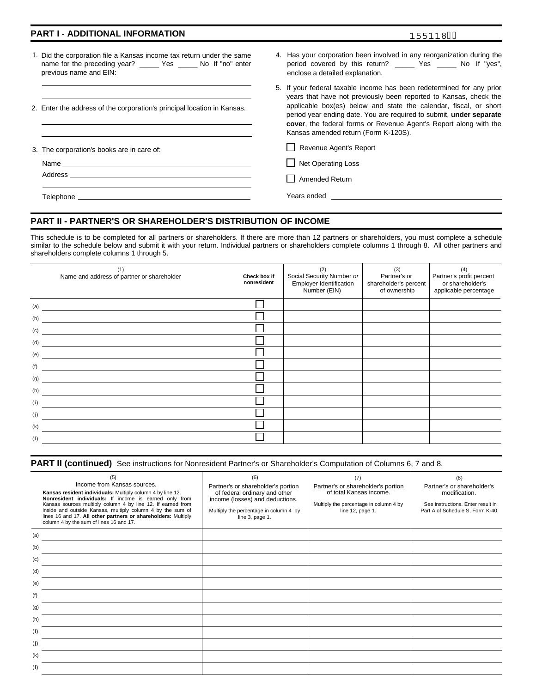### **PART I - ADDITIONAL INFORMATION**

|--|--|

- 1. Did the corporation file a Kansas income tax return under the same name for the preceding year? \_\_\_\_\_ Yes \_\_\_\_\_ No If "no" enter previous name and EIN:
- 2. Enter the address of the corporation's principal location in Kansas.

3. The corporation's books are in care of:

Address<sub>-</sub> Name

- 4. Has your corporation been involved in any reorganization during the period covered by this return? \_\_\_\_\_ Yes \_\_\_\_\_ No If "yes", enclose a detailed explanation.
- 5. If your federal taxable income has been redetermined for any prior years that have not previously been reported to Kansas, check the applicable box(es) below and state the calendar, fiscal, or short period year ending date. You are required to submit, **under separate cover**, the federal forms or Revenue Agent's Report along with the Kansas amended return (Form K-120S).

Revenue Agent's Report

 $\Box$  Net Operating Loss

Amended Return

Telephone Years ended

# **PART II - PARTNER'S OR SHAREHOLDER'S DISTRIBUTION OF INCOME**

This schedule is to be completed for all partners or shareholders. If there are more than 12 partners or shareholders, you must complete a schedule similar to the schedule below and submit it with your return. Individual partners or shareholders complete columns 1 through 8. All other partners and shareholders complete columns 1 through 5.

| Social Security Number or<br>Employer Identification<br>Number (EIN) | (3)<br>Partner's or<br>shareholder's percent<br>of ownership | (4)<br>Partner's profit percent<br>or shareholder's<br>applicable percentage |
|----------------------------------------------------------------------|--------------------------------------------------------------|------------------------------------------------------------------------------|
|                                                                      |                                                              |                                                                              |
|                                                                      |                                                              |                                                                              |
|                                                                      |                                                              |                                                                              |
|                                                                      |                                                              |                                                                              |
|                                                                      |                                                              |                                                                              |
|                                                                      |                                                              |                                                                              |
|                                                                      |                                                              |                                                                              |
|                                                                      |                                                              |                                                                              |
|                                                                      |                                                              |                                                                              |
|                                                                      |                                                              |                                                                              |
|                                                                      |                                                              |                                                                              |
|                                                                      |                                                              |                                                                              |
|                                                                      |                                                              |                                                                              |

|  | PART II (continued) See instructions for Nonresident Partner's or Shareholder's Computation of Columns 6, 7 and 8. |
|--|--------------------------------------------------------------------------------------------------------------------|
|--|--------------------------------------------------------------------------------------------------------------------|

| (5)<br>Income from Kansas sources.<br>Kansas resident individuals: Multiply column 4 by line 12.<br>Nonresident individuals: If income is earned only from<br>Kansas sources multiply column 4 by line 12. If earned from<br>inside and outside Kansas, multiply column 4 by the sum of<br>lines 16 and 17. All other partners or shareholders: Multiply<br>column 4 by the sum of lines 16 and 17. | (6)<br>Partner's or shareholder's portion<br>of federal ordinary and other<br>income (losses) and deductions.<br>Multiply the percentage in column 4 by<br>line 3, page 1. | (7)<br>Partner's or shareholder's portion<br>of total Kansas income.<br>Multiply the percentage in column 4 by<br>line 12, page 1. | (8)<br>Partner's or shareholder's<br>modification.<br>See instructions. Enter result in<br>Part A of Schedule S, Form K-40. |
|-----------------------------------------------------------------------------------------------------------------------------------------------------------------------------------------------------------------------------------------------------------------------------------------------------------------------------------------------------------------------------------------------------|----------------------------------------------------------------------------------------------------------------------------------------------------------------------------|------------------------------------------------------------------------------------------------------------------------------------|-----------------------------------------------------------------------------------------------------------------------------|
| (a)                                                                                                                                                                                                                                                                                                                                                                                                 |                                                                                                                                                                            |                                                                                                                                    |                                                                                                                             |
| (b)                                                                                                                                                                                                                                                                                                                                                                                                 |                                                                                                                                                                            |                                                                                                                                    |                                                                                                                             |
| (c)                                                                                                                                                                                                                                                                                                                                                                                                 |                                                                                                                                                                            |                                                                                                                                    |                                                                                                                             |
| (d)                                                                                                                                                                                                                                                                                                                                                                                                 |                                                                                                                                                                            |                                                                                                                                    |                                                                                                                             |
| (e)                                                                                                                                                                                                                                                                                                                                                                                                 |                                                                                                                                                                            |                                                                                                                                    |                                                                                                                             |
| (f)                                                                                                                                                                                                                                                                                                                                                                                                 |                                                                                                                                                                            |                                                                                                                                    |                                                                                                                             |
| (g)                                                                                                                                                                                                                                                                                                                                                                                                 |                                                                                                                                                                            |                                                                                                                                    |                                                                                                                             |
| (h)                                                                                                                                                                                                                                                                                                                                                                                                 |                                                                                                                                                                            |                                                                                                                                    |                                                                                                                             |
| (i)                                                                                                                                                                                                                                                                                                                                                                                                 |                                                                                                                                                                            |                                                                                                                                    |                                                                                                                             |
| (i)                                                                                                                                                                                                                                                                                                                                                                                                 |                                                                                                                                                                            |                                                                                                                                    |                                                                                                                             |
| (k)                                                                                                                                                                                                                                                                                                                                                                                                 |                                                                                                                                                                            |                                                                                                                                    |                                                                                                                             |
| (1)                                                                                                                                                                                                                                                                                                                                                                                                 |                                                                                                                                                                            |                                                                                                                                    |                                                                                                                             |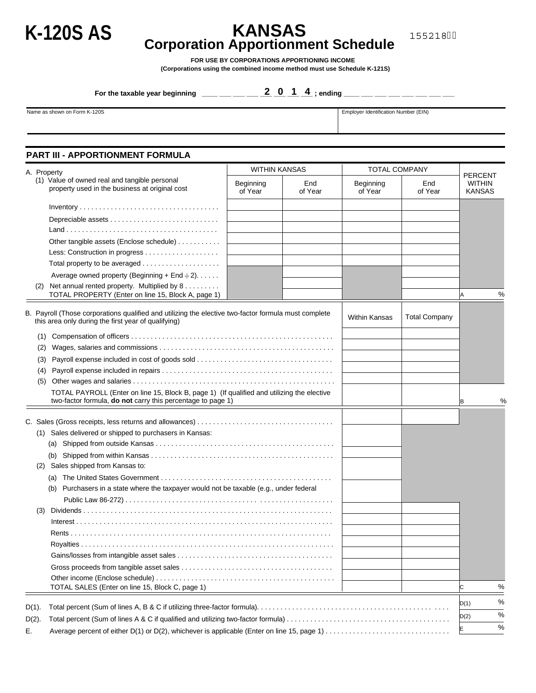# **K-120S AS KANSAS Corporation Apportionment Schedule**

155218

**FOR USE BY CORPORATIONS APPORTIONING INCOME** 

**(Corporations using the combined income method must use Schedule K-121S)** 

**For the taxable year beginning \_\_\_\_ \_\_\_ \_\_\_ \_\_\_ \_\_\_ \_\_\_ \_\_\_ \_\_\_ ; ending \_\_\_\_ \_\_\_ \_\_\_ \_\_\_ \_\_\_ \_\_\_ \_\_\_ 201 4 \_\_\_**

Name as shown on Form K-120S **Employer Identification Number (EIN)** Employer Identification Number (EIN)

# **PART III - APPORTIONMENT FORMULA**

| A. Property |                                                                                                                                                             | <b>WITHIN KANSAS</b> |                | <b>TOTAL COMPANY</b> |                      |                                                  |
|-------------|-------------------------------------------------------------------------------------------------------------------------------------------------------------|----------------------|----------------|----------------------|----------------------|--------------------------------------------------|
|             | (1) Value of owned real and tangible personal<br>property used in the business at original cost                                                             | Beginning<br>of Year | End<br>of Year | Beginning<br>of Year | End<br>of Year       | <b>PERCENT</b><br><b>WITHIN</b><br><b>KANSAS</b> |
|             |                                                                                                                                                             |                      |                |                      |                      |                                                  |
|             |                                                                                                                                                             |                      |                |                      |                      |                                                  |
|             |                                                                                                                                                             |                      |                |                      |                      |                                                  |
|             | Other tangible assets (Enclose schedule)                                                                                                                    |                      |                |                      |                      |                                                  |
|             |                                                                                                                                                             |                      |                |                      |                      |                                                  |
|             |                                                                                                                                                             |                      |                |                      |                      |                                                  |
|             | Average owned property (Beginning + End $\div 2$ ).                                                                                                         |                      |                |                      |                      |                                                  |
| (2)         | Net annual rented property. Multiplied by 8                                                                                                                 |                      |                |                      |                      |                                                  |
|             | TOTAL PROPERTY (Enter on line 15, Block A, page 1)                                                                                                          |                      |                |                      |                      | %<br>Α                                           |
|             | B. Payroll (Those corporations qualified and utilizing the elective two-factor formula must complete<br>this area only during the first year of qualifying) |                      |                | <b>Within Kansas</b> | <b>Total Company</b> |                                                  |
| (1)         |                                                                                                                                                             |                      |                |                      |                      |                                                  |
| (2)         |                                                                                                                                                             |                      |                |                      |                      |                                                  |
| (3)         |                                                                                                                                                             |                      |                |                      |                      |                                                  |
| (4)         |                                                                                                                                                             |                      |                |                      |                      |                                                  |
| (5)         |                                                                                                                                                             |                      |                |                      |                      |                                                  |
|             | TOTAL PAYROLL (Enter on line 15, Block B, page 1) (If qualified and utilizing the elective                                                                  |                      |                |                      |                      |                                                  |
|             | two-factor formula, do not carry this percentage to page 1)                                                                                                 |                      |                |                      |                      | %<br>ΙB                                          |
|             |                                                                                                                                                             |                      |                |                      |                      |                                                  |
|             | (1) Sales delivered or shipped to purchasers in Kansas:                                                                                                     |                      |                |                      |                      |                                                  |
|             |                                                                                                                                                             |                      |                |                      |                      |                                                  |
|             |                                                                                                                                                             |                      |                |                      |                      |                                                  |
|             | (2) Sales shipped from Kansas to:                                                                                                                           |                      |                |                      |                      |                                                  |
|             | (a)                                                                                                                                                         |                      |                |                      |                      |                                                  |
|             | Purchasers in a state where the taxpayer would not be taxable (e.g., under federal<br>(b)                                                                   |                      |                |                      |                      |                                                  |
|             |                                                                                                                                                             |                      |                |                      |                      |                                                  |
| (3)         |                                                                                                                                                             |                      |                |                      |                      |                                                  |
|             |                                                                                                                                                             |                      |                |                      |                      |                                                  |
|             |                                                                                                                                                             |                      |                |                      |                      |                                                  |
|             |                                                                                                                                                             |                      |                |                      |                      |                                                  |
|             |                                                                                                                                                             |                      |                |                      |                      |                                                  |
|             |                                                                                                                                                             |                      |                |                      |                      |                                                  |
|             |                                                                                                                                                             |                      |                |                      |                      |                                                  |
|             | TOTAL SALES (Enter on line 15, Block C, page 1)                                                                                                             |                      |                |                      |                      | %<br>lc.                                         |
| $D(1)$ .    |                                                                                                                                                             |                      |                |                      |                      | %<br>D(1)                                        |
|             |                                                                                                                                                             |                      |                |                      |                      | %<br>D(2)                                        |
| $D(2)$ .    |                                                                                                                                                             |                      |                |                      |                      | $\%$<br>E                                        |
| Е.          | Average percent of either D(1) or D(2), whichever is applicable (Enter on line 15, page 1)                                                                  |                      |                |                      |                      |                                                  |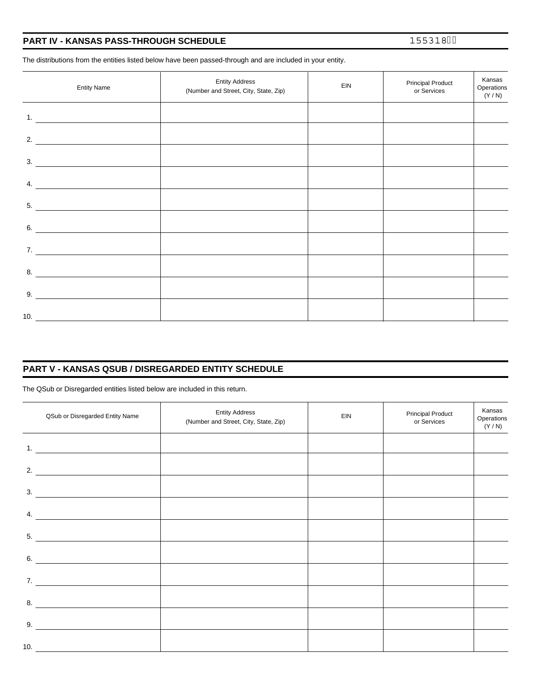| PART IV - KANSAS PASS-THROUGH SCHEDULE |
|----------------------------------------|
|----------------------------------------|

155318

The distributions from the entities listed below have been passed-through and are included in your entity.

| <b>Entity Name</b>                                                                                                         | <b>Entity Address</b><br>(Number and Street, City, State, Zip) | EIN | <b>Principal Product</b><br>or Services | Kansas<br>Operations<br>(Y / N) |
|----------------------------------------------------------------------------------------------------------------------------|----------------------------------------------------------------|-----|-----------------------------------------|---------------------------------|
| 1. $\qquad \qquad$                                                                                                         |                                                                |     |                                         |                                 |
| 2.<br><u> 1989 - Andrea Station Barbara, amerikan per</u>                                                                  |                                                                |     |                                         |                                 |
| $\overline{\phantom{a}}$ 3.                                                                                                |                                                                |     |                                         |                                 |
| 4.<br><u> 1980 - Andrea Station Books, amerikansk politik (</u>                                                            |                                                                |     |                                         |                                 |
| 5.                                                                                                                         |                                                                |     |                                         |                                 |
| 6.<br><u> 1986 - Jan Barbara Barbara, prima prima prima prima prima prima prima prima prima prima prima prima prima pr</u> |                                                                |     |                                         |                                 |
| 7. $\qquad \qquad$                                                                                                         |                                                                |     |                                         |                                 |
| 8.                                                                                                                         |                                                                |     |                                         |                                 |
| 9.                                                                                                                         |                                                                |     |                                         |                                 |
| 10. $\qquad \qquad$                                                                                                        |                                                                |     |                                         |                                 |

# **PART V - KANSAS QSUB / DISREGARDED ENTITY SCHEDULE**

The QSub or Disregarded entities listed below are included in this return.

| QSub or Disregarded Entity Name | <b>Entity Address</b><br>(Number and Street, City, State, Zip) | EIN | <b>Principal Product</b><br>or Services | Kansas<br>Operations<br>(Y/N) |
|---------------------------------|----------------------------------------------------------------|-----|-----------------------------------------|-------------------------------|
| 1. $\qquad \qquad$              |                                                                |     |                                         |                               |
| 2. $\qquad \qquad$              |                                                                |     |                                         |                               |
| $\overline{\phantom{a}}$ 3.     |                                                                |     |                                         |                               |
| 4. $\qquad \qquad$              |                                                                |     |                                         |                               |
| 5.                              |                                                                |     |                                         |                               |
| 6. $\qquad \qquad$              |                                                                |     |                                         |                               |
| 7. $\qquad \qquad$              | <u> 1989 - John Stein, Amerikaansk politiker (</u>             |     |                                         |                               |
| 8.                              |                                                                |     |                                         |                               |
| 9.                              |                                                                |     |                                         |                               |
| 10. $\qquad \qquad$             |                                                                |     |                                         |                               |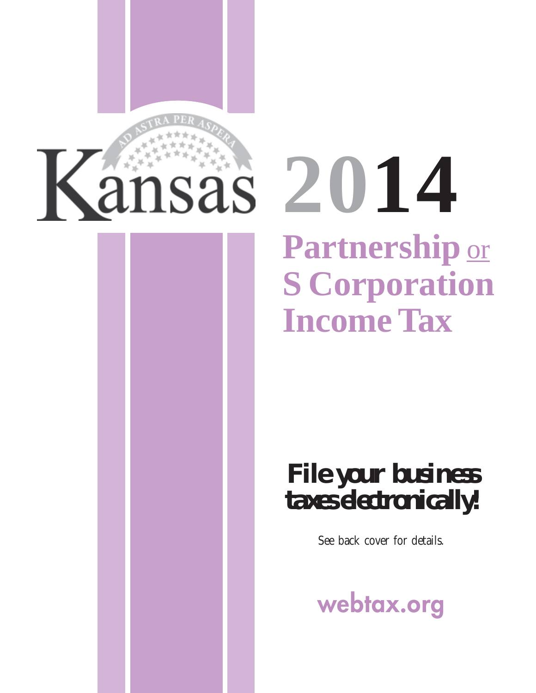

# **Partnership** or **S Corporation Income Tax**  sas 2014

# *File your business taxes electronically!*

See back cover for details.

**webtax.org**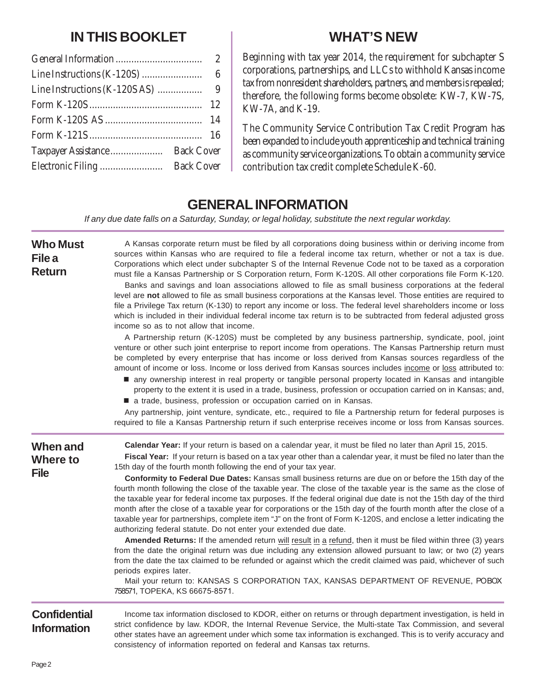# **IN THIS BOOKLET**

|                                          | -9 |
|------------------------------------------|----|
|                                          |    |
|                                          |    |
|                                          |    |
| <b>Back Cover</b><br>Taxpayer Assistance |    |
| <b>Back Cover</b>                        |    |

# **WHAT'S NEW**

Beginning with tax year 2014, the requirement for subchapter S corporations, partnerships, and LLCs to withhold Kansas income tax from nonresident shareholders, partners, and members is repealed; therefore, the following forms become obsolete: KW-7, KW-7S, KW-7A, and K-19.

The Community Service Contribution Tax Credit Program has been expanded to include youth apprenticeship and technical training as community service organizations. To obtain a community service contribution tax credit complete Schedule K-60.

# **GENERAL INFORMATION**

*If any due date falls on a Saturday, Sunday, or legal holiday, substitute the next regular workday.* 

| <b>Who Must</b><br>File a<br><b>Return</b>        | A Kansas corporate return must be filed by all corporations doing business within or deriving income from<br>sources within Kansas who are required to file a federal income tax return, whether or not a tax is due.<br>Corporations which elect under subchapter S of the Internal Revenue Code not to be taxed as a corporation<br>must file a Kansas Partnership or S Corporation return, Form K-120S. All other corporations file Form K-120.<br>Banks and savings and loan associations allowed to file as small business corporations at the federal<br>level are not allowed to file as small business corporations at the Kansas level. Those entities are required to<br>file a Privilege Tax return (K-130) to report any income or loss. The federal level shareholders income or loss<br>which is included in their individual federal income tax return is to be subtracted from federal adjusted gross<br>income so as to not allow that income.<br>A Partnership return (K-120S) must be completed by any business partnership, syndicate, pool, joint                                                                                                                                                                                                                                                                                                                                                                                                  |
|---------------------------------------------------|-------------------------------------------------------------------------------------------------------------------------------------------------------------------------------------------------------------------------------------------------------------------------------------------------------------------------------------------------------------------------------------------------------------------------------------------------------------------------------------------------------------------------------------------------------------------------------------------------------------------------------------------------------------------------------------------------------------------------------------------------------------------------------------------------------------------------------------------------------------------------------------------------------------------------------------------------------------------------------------------------------------------------------------------------------------------------------------------------------------------------------------------------------------------------------------------------------------------------------------------------------------------------------------------------------------------------------------------------------------------------------------------------------------------------------------------------------------------------|
|                                                   | venture or other such joint enterprise to report income from operations. The Kansas Partnership return must<br>be completed by every enterprise that has income or loss derived from Kansas sources regardless of the<br>amount of income or loss. Income or loss derived from Kansas sources includes income or loss attributed to:<br>■ any ownership interest in real property or tangible personal property located in Kansas and intangible<br>property to the extent it is used in a trade, business, profession or occupation carried on in Kansas; and,<br>a trade, business, profession or occupation carried on in Kansas.<br>Any partnership, joint venture, syndicate, etc., required to file a Partnership return for federal purposes is<br>required to file a Kansas Partnership return if such enterprise receives income or loss from Kansas sources.                                                                                                                                                                                                                                                                                                                                                                                                                                                                                                                                                                                                  |
|                                                   |                                                                                                                                                                                                                                                                                                                                                                                                                                                                                                                                                                                                                                                                                                                                                                                                                                                                                                                                                                                                                                                                                                                                                                                                                                                                                                                                                                                                                                                                         |
| <b>When and</b><br><b>Where to</b><br><b>File</b> | Calendar Year: If your return is based on a calendar year, it must be filed no later than April 15, 2015.<br>Fiscal Year: If your return is based on a tax year other than a calendar year, it must be filed no later than the<br>15th day of the fourth month following the end of your tax year.<br>Conformity to Federal Due Dates: Kansas small business returns are due on or before the 15th day of the<br>fourth month following the close of the taxable year. The close of the taxable year is the same as the close of<br>the taxable year for federal income tax purposes. If the federal original due date is not the 15th day of the third<br>month after the close of a taxable year for corporations or the 15th day of the fourth month after the close of a<br>taxable year for partnerships, complete item "J" on the front of Form K-120S, and enclose a letter indicating the<br>authorizing federal statute. Do not enter your extended due date.<br>Amended Returns: If the amended return will result in a refund, then it must be filed within three (3) years<br>from the date the original return was due including any extension allowed pursuant to law; or two (2) years<br>from the date the tax claimed to be refunded or against which the credit claimed was paid, whichever of such<br>periods expires later.<br>Mail your return to: KANSAS S CORPORATION TAX, KANSAS DEPARTMENT OF REVENUE, POBOX<br>758571, TOPEKA, KS 66675-8571. |
| <b>Confidential</b><br><b>Information</b>         | Income tax information disclosed to KDOR, either on returns or through department investigation, is held in<br>strict confidence by law. KDOR, the Internal Revenue Service, the Multi-state Tax Commission, and several<br>other states have an agreement under which some tax information is exchanged. This is to verify accuracy and<br>consistency of information reported on federal and Kansas tax returns.                                                                                                                                                                                                                                                                                                                                                                                                                                                                                                                                                                                                                                                                                                                                                                                                                                                                                                                                                                                                                                                      |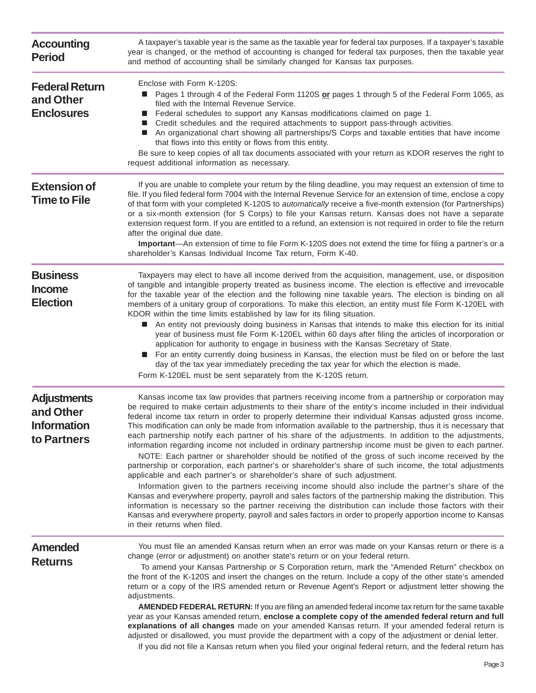| <b>Accounting</b><br><b>Period</b>                                   | A taxpayer's taxable year is the same as the taxable year for federal tax purposes. If a taxpayer's taxable<br>year is changed, or the method of accounting is changed for federal tax purposes, then the taxable year<br>and method of accounting shall be similarly changed for Kansas tax purposes.<br>Enclose with Form K-120S:<br>Pages 1 through 4 of the Federal Form 1120S or pages 1 through 5 of the Federal Form 1065, as<br>$\blacksquare$<br>filed with the Internal Revenue Service.<br>Federal schedules to support any Kansas modifications claimed on page 1.<br>Credit schedules and the required attachments to support pass-through activities.<br>An organizational chart showing all partnerships/S Corps and taxable entities that have income<br>that flows into this entity or flows from this entity.<br>Be sure to keep copies of all tax documents associated with your return as KDOR reserves the right to<br>request additional information as necessary.<br>If you are unable to complete your return by the filing deadline, you may request an extension of time to<br>file. If you filed federal form 7004 with the Internal Revenue Service for an extension of time, enclose a copy<br>of that form with your completed K-120S to automatically receive a five-month extension (for Partnerships)<br>or a six-month extension (for S Corps) to file your Kansas return. Kansas does not have a separate<br>extension request form. If you are entitled to a refund, an extension is not required in order to file the return<br>after the original due date.<br>Important—An extension of time to file Form K-120S does not extend the time for filing a partner's or a<br>shareholder's Kansas Individual Income Tax return, Form K-40. |  |
|----------------------------------------------------------------------|-------------------------------------------------------------------------------------------------------------------------------------------------------------------------------------------------------------------------------------------------------------------------------------------------------------------------------------------------------------------------------------------------------------------------------------------------------------------------------------------------------------------------------------------------------------------------------------------------------------------------------------------------------------------------------------------------------------------------------------------------------------------------------------------------------------------------------------------------------------------------------------------------------------------------------------------------------------------------------------------------------------------------------------------------------------------------------------------------------------------------------------------------------------------------------------------------------------------------------------------------------------------------------------------------------------------------------------------------------------------------------------------------------------------------------------------------------------------------------------------------------------------------------------------------------------------------------------------------------------------------------------------------------------------------------------------------------------------------------------------------------------------------------|--|
| <b>Federal Return</b><br>and Other<br><b>Enclosures</b>              |                                                                                                                                                                                                                                                                                                                                                                                                                                                                                                                                                                                                                                                                                                                                                                                                                                                                                                                                                                                                                                                                                                                                                                                                                                                                                                                                                                                                                                                                                                                                                                                                                                                                                                                                                                               |  |
| <b>Extension of</b><br><b>Time to File</b>                           |                                                                                                                                                                                                                                                                                                                                                                                                                                                                                                                                                                                                                                                                                                                                                                                                                                                                                                                                                                                                                                                                                                                                                                                                                                                                                                                                                                                                                                                                                                                                                                                                                                                                                                                                                                               |  |
| <b>Business</b><br><b>Income</b><br><b>Election</b>                  | Taxpayers may elect to have all income derived from the acquisition, management, use, or disposition<br>of tangible and intangible property treated as business income. The election is effective and irrevocable<br>for the taxable year of the election and the following nine taxable years. The election is binding on all<br>members of a unitary group of corporations. To make this election, an entity must file Form K-120EL with<br>KDOR within the time limits established by law for its filing situation.<br>An entity not previously doing business in Kansas that intends to make this election for its initial<br>w.<br>year of business must file Form K-120EL within 60 days after filing the articles of incorporation or<br>application for authority to engage in business with the Kansas Secretary of State.<br>For an entity currently doing business in Kansas, the election must be filed on or before the last<br>day of the tax year immediately preceding the tax year for which the election is made.                                                                                                                                                                                                                                                                                                                                                                                                                                                                                                                                                                                                                                                                                                                                           |  |
| <b>Adjustments</b><br>and Other<br><b>Information</b><br>to Partners | Form K-120EL must be sent separately from the K-120S return.<br>Kansas income tax law provides that partners receiving income from a partnership or corporation may<br>be required to make certain adjustments to their share of the entity's income included in their individual<br>federal income tax return in order to properly determine their individual Kansas adjusted gross income.<br>This modification can only be made from information available to the partnership, thus it is necessary that<br>each partnership notify each partner of his share of the adjustments. In addition to the adjustments,<br>information regarding income not included in ordinary partnership income must be given to each partner.<br>NOTE: Each partner or shareholder should be notified of the gross of such income received by the<br>partnership or corporation, each partner's or shareholder's share of such income, the total adjustments<br>applicable and each partner's or shareholder's share of such adjustment.<br>Information given to the partners receiving income should also include the partner's share of the<br>Kansas and everywhere property, payroll and sales factors of the partnership making the distribution. This<br>information is necessary so the partner receiving the distribution can include those factors with their<br>Kansas and everywhere property, payroll and sales factors in order to properly apportion income to Kansas<br>in their returns when filed.                                                                                                                                                                                                                                                                         |  |
| Amended<br><b>Returns</b>                                            | You must file an amended Kansas return when an error was made on your Kansas return or there is a<br>change (error or adjustment) on another state's return or on your federal return.<br>To amend your Kansas Partnership or S Corporation return, mark the "Amended Return" checkbox on<br>the front of the K-120S and insert the changes on the return. Include a copy of the other state's amended<br>return or a copy of the IRS amended return or Revenue Agent's Report or adjustment letter showing the<br>adjustments.<br>AMENDED FEDERAL RETURN: If you are filing an amended federal income tax return for the same taxable<br>year as your Kansas amended return, enclose a complete copy of the amended federal return and full<br>explanations of all changes made on your amended Kansas return. If your amended federal return is<br>adjusted or disallowed, you must provide the department with a copy of the adjustment or denial letter.                                                                                                                                                                                                                                                                                                                                                                                                                                                                                                                                                                                                                                                                                                                                                                                                                  |  |

If you did not file a Kansas return when you filed your original federal return, and the federal return has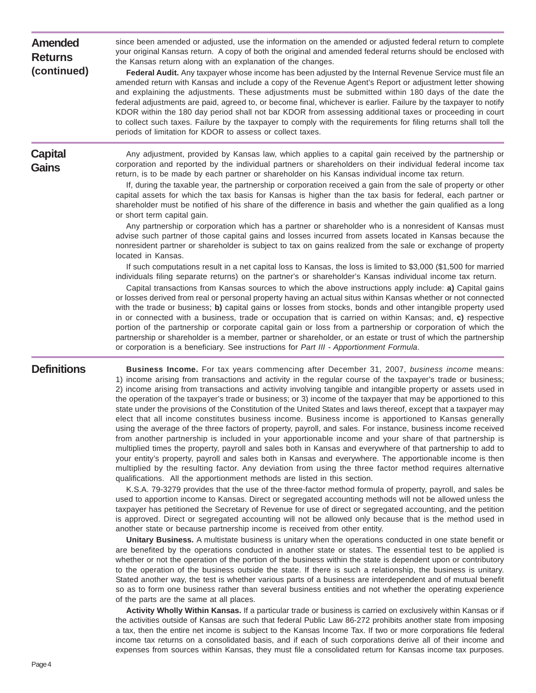| <b>Amended</b><br><b>Returns</b><br>(continued) | since been amended or adjusted, use the information on the amended or adjusted federal return to complete<br>your original Kansas return. A copy of both the original and amended federal returns should be enclosed with<br>the Kansas return along with an explanation of the changes.<br>Federal Audit. Any taxpayer whose income has been adjusted by the Internal Revenue Service must file an<br>amended return with Kansas and include a copy of the Revenue Agent's Report or adjustment letter showing<br>and explaining the adjustments. These adjustments must be submitted within 180 days of the date the<br>federal adjustments are paid, agreed to, or become final, whichever is earlier. Failure by the taxpayer to notify<br>KDOR within the 180 day period shall not bar KDOR from assessing additional taxes or proceeding in court<br>to collect such taxes. Failure by the taxpayer to comply with the requirements for filing returns shall toll the<br>periods of limitation for KDOR to assess or collect taxes.                            |
|-------------------------------------------------|----------------------------------------------------------------------------------------------------------------------------------------------------------------------------------------------------------------------------------------------------------------------------------------------------------------------------------------------------------------------------------------------------------------------------------------------------------------------------------------------------------------------------------------------------------------------------------------------------------------------------------------------------------------------------------------------------------------------------------------------------------------------------------------------------------------------------------------------------------------------------------------------------------------------------------------------------------------------------------------------------------------------------------------------------------------------|
| <b>Capital</b><br><b>Gains</b>                  | Any adjustment, provided by Kansas law, which applies to a capital gain received by the partnership or<br>corporation and reported by the individual partners or shareholders on their individual federal income tax<br>return, is to be made by each partner or shareholder on his Kansas individual income tax return.<br>If, during the taxable year, the partnership or corporation received a gain from the sale of property or other<br>capital assets for which the tax basis for Kansas is higher than the tax basis for federal, each partner or<br>shareholder must be notified of his share of the difference in basis and whether the gain qualified as a long<br>or short term capital gain.<br>Any partnership or corporation which has a partner or shareholder who is a nonresident of Kansas must<br>advise such partner of those capital gains and losses incurred from assets located in Kansas because the<br>nonresident partner or shareholder is subject to tax on gains realized from the sale or exchange of property<br>located in Kansas. |
|                                                 | If such computations result in a net capital loss to Kansas, the loss is limited to \$3,000 (\$1,500 for married<br>individuals filing separate returns) on the partner's or shareholder's Kansas individual income tax return.<br>Capital transactions from Kansas sources to which the above instructions apply include: a) Capital gains<br>or losses derived from real or personal property having an actual situs within Kansas whether or not connected<br>with the trade or business; b) capital gains or losses from stocks, bonds and other intangible property used<br>in or connected with a business, trade or occupation that is carried on within Kansas; and, $c$ ) respective<br>portion of the partnership or corporate capital gain or loss from a partnership or corporation of which the<br>partnership or shareholder is a member, partner or shareholder, or an estate or trust of which the partnership<br>or corporation is a beneficiary. See instructions for Part III - Apportionment Formula.                                            |

**Definitions** Business Income. For tax years commencing after December 31, 2007, *business income* means: 1) income arising from transactions and activity in the regular course of the taxpayer's trade or business; 2) income arising from transactions and activity involving tangible and intangible property or assets used in the operation of the taxpayer's trade or business; or 3) income of the taxpayer that may be apportioned to this state under the provisions of the Constitution of the United States and laws thereof, except that a taxpayer may elect that all income constitutes business income. Business income is apportioned to Kansas generally using the average of the three factors of property, payroll, and sales. For instance, business income received from another partnership is included in your apportionable income and your share of that partnership is multiplied times the property, payroll and sales both in Kansas and everywhere of that partnership to add to your entity's property, payroll and sales both in Kansas and everywhere. The apportionable income is then multiplied by the resulting factor. Any deviation from using the three factor method requires alternative qualifications. All the apportionment methods are listed in this section.

> K.S.A. 79-3279 provides that the use of the three-factor method formula of property, payroll, and sales be used to apportion income to Kansas. Direct or segregated accounting methods will not be allowed unless the taxpayer has petitioned the Secretary of Revenue for use of direct or segregated accounting, and the petition is approved. Direct or segregated accounting will not be allowed only because that is the method used in another state or because partnership income is received from other entity.

> **Unitary Business.** A multistate business is unitary when the operations conducted in one state benefit or are benefited by the operations conducted in another state or states. The essential test to be applied is whether or not the operation of the portion of the business within the state is dependent upon or contributory to the operation of the business outside the state. If there is such a relationship, the business is unitary. Stated another way, the test is whether various parts of a business are interdependent and of mutual benefit so as to form one business rather than several business entities and not whether the operating experience of the parts are the same at all places.

> **Activity Wholly Within Kansas.** If a particular trade or business is carried on exclusively within Kansas or if the activities outside of Kansas are such that federal Public Law 86-272 prohibits another state from imposing a tax, then the entire net income is subject to the Kansas Income Tax. If two or more corporations file federal income tax returns on a consolidated basis, and if each of such corporations derive all of their income and expenses from sources within Kansas, they must file a consolidated return for Kansas income tax purposes.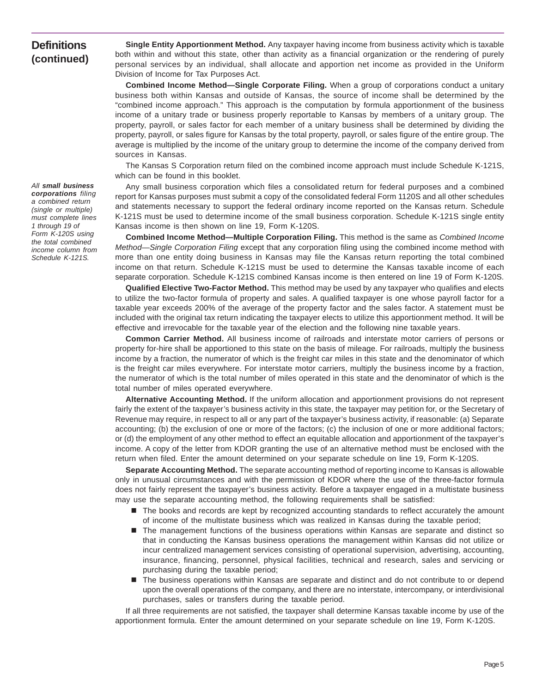# **Definitions (continued)**

**Single Entity Apportionment Method.** Any taxpayer having income from business activity which is taxable both within and without this state, other than activity as a financial organization or the rendering of purely personal services by an individual, shall allocate and apportion net income as provided in the Uniform Division of Income for Tax Purposes Act.

**Combined Income Method—Single Corporate Filing.** When a group of corporations conduct a unitary business both within Kansas and outside of Kansas, the source of income shall be determined by the "combined income approach." This approach is the computation by formula apportionment of the business income of a unitary trade or business properly reportable to Kansas by members of a unitary group. The property, payroll, or sales factor for each member of a unitary business shall be determined by dividing the property, payroll, or sales figure for Kansas by the total property, payroll, or sales figure of the entire group. The average is multiplied by the income of the unitary group to determine the income of the company derived from sources in Kansas.

The Kansas S Corporation return filed on the combined income approach must include Schedule K-121S, which can be found in this booklet.

Any small business corporation which files a consolidated return for federal purposes and a combined report for Kansas purposes must submit a copy of the consolidated federal Form 1120S and all other schedules and statements necessary to support the federal ordinary income reported on the Kansas return. Schedule K-121S must be used to determine income of the small business corporation. Schedule K-121S single entity Kansas income is then shown on line 19, Form K-120S.

**Combined Income Method—Multiple Corporation Filing.** This method is the same as *Combined Income Method—Single Corporation Filing* except that any corporation filing using the combined income method with more than one entity doing business in Kansas may file the Kansas return reporting the total combined income on that return. Schedule K-121S must be used to determine the Kansas taxable income of each separate corporation. Schedule K-121S combined Kansas income is then entered on line 19 of Form K-120S.

**Qualified Elective Two-Factor Method.** This method may be used by any taxpayer who qualifies and elects to utilize the two-factor formula of property and sales. A qualified taxpayer is one whose payroll factor for a taxable year exceeds 200% of the average of the property factor and the sales factor. A statement must be included with the original tax return indicating the taxpayer elects to utilize this apportionment method. It will be effective and irrevocable for the taxable year of the election and the following nine taxable years.

**Common Carrier Method.** All business income of railroads and interstate motor carriers of persons or property for-hire shall be apportioned to this state on the basis of mileage. For railroads, multiply the business income by a fraction, the numerator of which is the freight car miles in this state and the denominator of which is the freight car miles everywhere. For interstate motor carriers, multiply the business income by a fraction, the numerator of which is the total number of miles operated in this state and the denominator of which is the total number of miles operated everywhere.

**Alternative Accounting Method.** If the uniform allocation and apportionment provisions do not represent fairly the extent of the taxpayer's business activity in this state, the taxpayer may petition for, or the Secretary of Revenue may require, in respect to all or any part of the taxpayer's business activity, if reasonable: (a) Separate accounting; (b) the exclusion of one or more of the factors; (c) the inclusion of one or more additional factors; or (d) the employment of any other method to effect an equitable allocation and apportionment of the taxpayer's income. A copy of the letter from KDOR granting the use of an alternative method must be enclosed with the return when filed. Enter the amount determined on your separate schedule on line 19, Form K-120S.

**Separate Accounting Method.** The separate accounting method of reporting income to Kansas is allowable only in unusual circumstances and with the permission of KDOR where the use of the three-factor formula does not fairly represent the taxpayer's business activity. Before a taxpayer engaged in a multistate business may use the separate accounting method, the following requirements shall be satisfied:

- $\blacksquare$  The books and records are kept by recognized accounting standards to reflect accurately the amount of income of the multistate business which was realized in Kansas during the taxable period;
- The management functions of the business operations within Kansas are separate and distinct so that in conducting the Kansas business operations the management within Kansas did not utilize or incur centralized management services consisting of operational supervision, advertising, accounting, insurance, financing, personnel, physical facilities, technical and research, sales and servicing or purchasing during the taxable period;
- The business operations within Kansas are separate and distinct and do not contribute to or depend upon the overall operations of the company, and there are no interstate, intercompany, or interdivisional purchases, sales or transfers during the taxable period.

If all three requirements are not satisfied, the taxpayer shall determine Kansas taxable income by use of the apportionment formula. Enter the amount determined on your separate schedule on line 19, Form K-120S.

*All small business corporations filing a combined return (single or multiple) must complete lines 1 through 19 of Form K-120S using the total combined income column from Schedule K-121S.*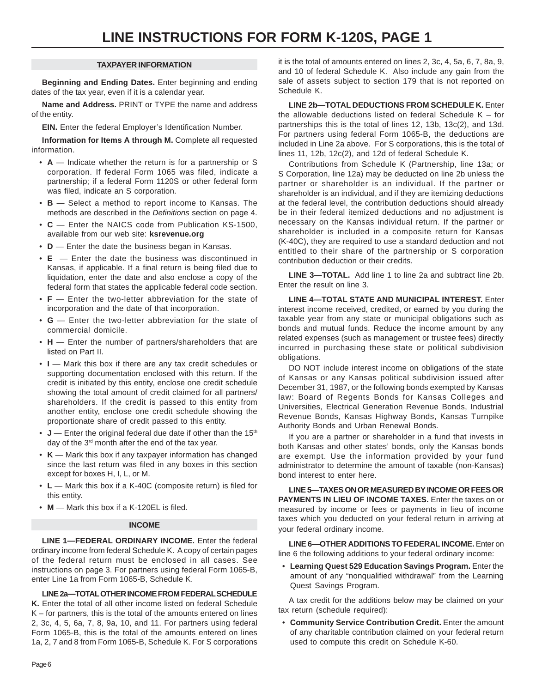#### **TAXPAYER INFORMATION**

**Beginning and Ending Dates.** Enter beginning and ending dates of the tax year, even if it is a calendar year.

**Name and Address.** PRINT or TYPE the name and address of the entity.

**EIN.** Enter the federal Employer's Identification Number.

**Information for Items A through M.** Complete all requested information.

- **A** Indicate whether the return is for a partnership or S corporation. If federal Form 1065 was filed, indicate a partnership; if a federal Form 1120S or other federal form was filed, indicate an S corporation.
- **B** Select a method to report income to Kansas. The methods are described in the *Definitions* section on page 4.
- **C** Enter the NAICS code from Publication KS-1500, available from our web site: **ksrevenue.org**
- **D** Enter the date the business began in Kansas.
- **E**  Enter the date the business was discontinued in Kansas, if applicable. If a final return is being filed due to liquidation, enter the date and also enclose a copy of the federal form that states the applicable federal code section.
- **F** Enter the two-letter abbreviation for the state of incorporation and the date of that incorporation.
- **G**  Enter the two-letter abbreviation for the state of commercial domicile.
- **H** Enter the number of partners/shareholders that are listed on Part II.
- **I** Mark this box if there are any tax credit schedules or supporting documentation enclosed with this return. If the credit is initiated by this entity, enclose one credit schedule showing the total amount of credit claimed for all partners/ shareholders. If the credit is passed to this entity from another entity, enclose one credit schedule showing the proportionate share of credit passed to this entity.
- $\bullet$  **J** Enter the original federal due date if other than the 15<sup>th</sup> day of the 3<sup>rd</sup> month after the end of the tax year.
- **K**  Mark this box if any taxpayer information has changed since the last return was filed in any boxes in this section except for boxes H, I, L, or M.
- **L** Mark this box if a K-40C (composite return) is filed for this entity.
- **M** Mark this box if a K-120EL is filed.

#### **INCOME**

**LINE 1—FEDERAL ORDINARY INCOME.** Enter the federal ordinary income from federal Schedule K. A copy of certain pages of the federal return must be enclosed in all cases. See instructions on page 3. For partners using federal Form 1065-B, enter Line 1a from Form 1065-B, Schedule K.

**LINE 2a—TOTAL OTHER INCOME FROM FEDERAL SCHEDULE K.** Enter the total of all other income listed on federal Schedule  $K$  – for partners, this is the total of the amounts entered on lines 2, 3c, 4, 5, 6a, 7, 8, 9a, 10, and 11. For partners using federal Form 1065-B, this is the total of the amounts entered on lines 1a, 2, 7 and 8 from Form 1065-B, Schedule K. For S corporations

it is the total of amounts entered on lines 2, 3c, 4, 5a, 6, 7, 8a, 9, and 10 of federal Schedule K. Also include any gain from the sale of assets subject to section 179 that is not reported on Schedule K.

**LINE 2b—TOTAL DEDUCTIONS FROM SCHEDULE K.** Enter the allowable deductions listed on federal Schedule  $K -$  for partnerships this is the total of lines 12, 13b, 13c(2), and 13d. For partners using federal Form 1065-B, the deductions are included in Line 2a above. For S corporations, this is the total of lines 11, 12b, 12c(2), and 12d of federal Schedule K.

Contributions from Schedule K (Partnership, line 13a; or S Corporation, line 12a) may be deducted on line 2b unless the partner or shareholder is an individual. If the partner or shareholder is an individual, and if they are itemizing deductions at the federal level, the contribution deductions should already be in their federal itemized deductions and no adjustment is necessary on the Kansas individual return. If the partner or shareholder is included in a composite return for Kansas (K-40C), they are required to use a standard deduction and not entitled to their share of the partnership or S corporation contribution deduction or their credits.

**LINE 3—TOTAL.** Add line 1 to line 2a and subtract line 2b. Enter the result on line 3.

**LINE 4—TOTAL STATE AND MUNICIPAL INTEREST.** Enter interest income received, credited, or earned by you during the taxable year from any state or municipal obligations such as bonds and mutual funds. Reduce the income amount by any related expenses (such as management or trustee fees) directly incurred in purchasing these state or political subdivision obligations.

DO NOT include interest income on obligations of the state of Kansas or any Kansas political subdivision issued after December 31, 1987, or the following bonds exempted by Kansas law: Board of Regents Bonds for Kansas Colleges and Universities, Electrical Generation Revenue Bonds, Industrial Revenue Bonds, Kansas Highway Bonds, Kansas Turnpike Authority Bonds and Urban Renewal Bonds.

If you are a partner or shareholder in a fund that invests in both Kansas and other states' bonds, only the Kansas bonds are exempt. Use the information provided by your fund administrator to determine the amount of taxable (non-Kansas) bond interest to enter here.

**LINE 5—TAXES ON OR MEASURED BY INCOME OR FEES OR PAYMENTS IN LIEU OF INCOME TAXES.** Enter the taxes on or measured by income or fees or payments in lieu of income taxes which you deducted on your federal return in arriving at your federal ordinary income.

**LINE 6—OTHER ADDITIONS TO FEDERAL INCOME.** Enter on line 6 the following additions to your federal ordinary income:

• **Learning Quest 529 Education Savings Program.** Enter the amount of any "nonqualified withdrawal" from the Learning Quest Savings Program.

A tax credit for the additions below may be claimed on your tax return (schedule required):

• **Community Service Contribution Credit.** Enter the amount of any charitable contribution claimed on your federal return used to compute this credit on Schedule K-60.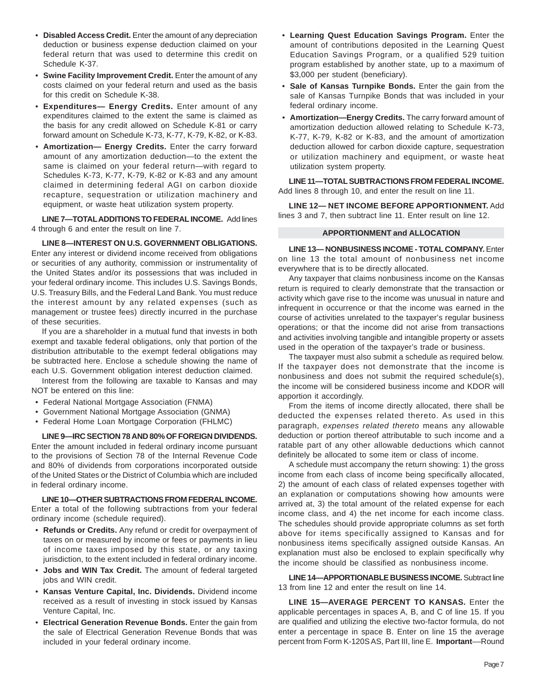- **Disabled Access Credit.** Enter the amount of any depreciation deduction or business expense deduction claimed on your federal return that was used to determine this credit on Schedule K-37.
- Swine Facility Improvement Credit. Enter the amount of any costs claimed on your federal return and used as the basis for this credit on Schedule K-38.
- **Expenditures— Energy Credits.** Enter amount of any expenditures claimed to the extent the same is claimed as the basis for any credit allowed on Schedule K-81 or carry forward amount on Schedule K-73, K-77, K-79, K-82, or K-83.
- **Amortization— Energy Credits.** Enter the carry forward amount of any amortization deduction—to the extent the same is claimed on your federal return—with regard to Schedules K-73, K-77, K-79, K-82 or K-83 and any amount claimed in determining federal AGI on carbon dioxide recapture, sequestration or utilization machinery and equipment, or waste heat utilization system property.

**LINE 7—TOTALADDITIONS TO FEDERAL INCOME.** Add lines 4 through 6 and enter the result on line 7.

**LINE 8—INTEREST ON U.S. GOVERNMENT OBLIGATIONS.**  Enter any interest or dividend income received from obligations or securities of any authority, commission or instrumentality of the United States and/or its possessions that was included in your federal ordinary income. This includes U.S. Savings Bonds, U.S. Treasury Bills, and the Federal Land Bank. You must reduce the interest amount by any related expenses (such as management or trustee fees) directly incurred in the purchase of these securities.

If you are a shareholder in a mutual fund that invests in both exempt and taxable federal obligations, only that portion of the distribution attributable to the exempt federal obligations may be subtracted here. Enclose a schedule showing the name of each U.S. Government obligation interest deduction claimed.

Interest from the following are taxable to Kansas and may NOT be entered on this line:

- Federal National Mortgage Association (FNMA)
- Government National Mortgage Association (GNMA)
- Federal Home Loan Mortgage Corporation (FHLMC)

**LINE 9—IRC SECTION 78 AND 80% OF FOREIGN DIVIDENDS.**  Enter the amount included in federal ordinary income pursuant to the provisions of Section 78 of the Internal Revenue Code and 80% of dividends from corporations incorporated outside of the United States or the District of Columbia which are included in federal ordinary income.

**LINE 10—OTHER SUBTRACTIONS FROM FEDERAL INCOME.**  Enter a total of the following subtractions from your federal ordinary income (schedule required).

- **Refunds or Credits.** Any refund or credit for overpayment of taxes on or measured by income or fees or payments in lieu of income taxes imposed by this state, or any taxing jurisdiction, to the extent included in federal ordinary income.
- **Jobs and WIN Tax Credit.** The amount of federal targeted jobs and WIN credit.
- **Kansas Venture Capital, Inc. Dividends.** Dividend income received as a result of investing in stock issued by Kansas Venture Capital, Inc.
- **Electrical Generation Revenue Bonds.** Enter the gain from the sale of Electrical Generation Revenue Bonds that was included in your federal ordinary income.
- **Learning Quest Education Savings Program.** Enter the amount of contributions deposited in the Learning Quest Education Savings Program, or a qualified 529 tuition program established by another state, up to a maximum of \$3,000 per student (beneficiary).
- **Sale of Kansas Turnpike Bonds.** Enter the gain from the sale of Kansas Turnpike Bonds that was included in your federal ordinary income.
- **Amortization—Energy Credits.** The carry forward amount of amortization deduction allowed relating to Schedule K-73, K-77, K-79, K-82 or K-83, and the amount of amortization deduction allowed for carbon dioxide capture, sequestration or utilization machinery and equipment, or waste heat utilization system property.

**LINE 11—TOTAL SUBTRACTIONS FROM FEDERAL INCOME.**  Add lines 8 through 10, and enter the result on line 11.

**LINE 12— NET INCOME BEFORE APPORTIONMENT.** Add lines 3 and 7, then subtract line 11. Enter result on line 12.

#### **APPORTIONMENT and ALLOCATION**

**LINE 13— NONBUSINESS INCOME - TOTAL COMPANY.** Enter on line 13 the total amount of nonbusiness net income everywhere that is to be directly allocated.

Any taxpayer that claims nonbusiness income on the Kansas return is required to clearly demonstrate that the transaction or activity which gave rise to the income was unusual in nature and infrequent in occurrence or that the income was earned in the course of activities unrelated to the taxpayer's regular business operations; or that the income did not arise from transactions and activities involving tangible and intangible property or assets used in the operation of the taxpayer's trade or business.

The taxpayer must also submit a schedule as required below. If the taxpayer does not demonstrate that the income is nonbusiness and does not submit the required schedule(s), the income will be considered business income and KDOR will apportion it accordingly.

From the items of income directly allocated, there shall be deducted the expenses related thereto. As used in this paragraph, *expenses related thereto* means any allowable deduction or portion thereof attributable to such income and a ratable part of any other allowable deductions which cannot definitely be allocated to some item or class of income.

A schedule must accompany the return showing: 1) the gross income from each class of income being specifically allocated, 2) the amount of each class of related expenses together with an explanation or computations showing how amounts were arrived at, 3) the total amount of the related expense for each income class, and 4) the net income for each income class. The schedules should provide appropriate columns as set forth above for items specifically assigned to Kansas and for nonbusiness items specifically assigned outside Kansas. An explanation must also be enclosed to explain specifically why the income should be classified as nonbusiness income.

**LINE 14—APPORTIONABLE BUSINESS INCOME.** Subtract line 13 from line 12 and enter the result on line 14.

**LINE 15—AVERAGE PERCENT TO KANSAS.** Enter the applicable percentages in spaces A, B, and C of line 15. If you are qualified and utilizing the elective two-factor formula, do not enter a percentage in space B. Enter on line 15 the average percent from Form K-120S AS, Part III, line E. **Important**––Round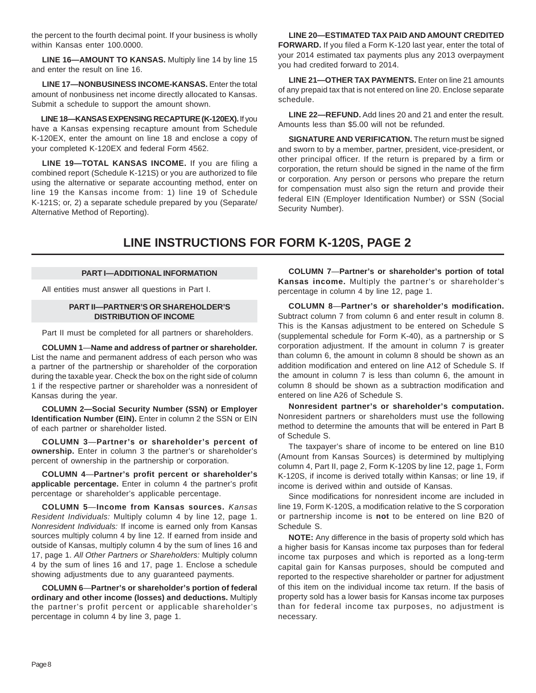the percent to the fourth decimal point. If your business is wholly within Kansas enter 100.0000.

**LINE 16—AMOUNT TO KANSAS.** Multiply line 14 by line 15 and enter the result on line 16.

**LINE 17—NONBUSINESS INCOME-KANSAS.** Enter the total amount of nonbusiness net income directly allocated to Kansas. Submit a schedule to support the amount shown.

**LINE 18—KANSAS EXPENSING RECAPTURE (K-120EX).** If you have a Kansas expensing recapture amount from Schedule K-120EX, enter the amount on line 18 and enclose a copy of your completed K-120EX and federal Form 4562.

**LINE 19—TOTAL KANSAS INCOME.** If you are filing a combined report (Schedule K-121S) or you are authorized to file using the alternative or separate accounting method, enter on line 19 the Kansas income from: 1) line 19 of Schedule K-121S; or, 2) a separate schedule prepared by you (Separate/ Alternative Method of Reporting).

**LINE 20—ESTIMATED TAX PAID AND AMOUNT CREDITED FORWARD.** If you filed a Form K-120 last year, enter the total of your 2014 estimated tax payments plus any 2013 overpayment you had credited forward to 2014.

**LINE 21—OTHER TAX PAYMENTS.** Enter on line 21 amounts of any prepaid tax that is not entered on line 20. Enclose separate schedule.

**LINE 22—REFUND.** Add lines 20 and 21 and enter the result. Amounts less than \$5.00 will not be refunded.

**SIGNATURE AND VERIFICATION.** The return must be signed and sworn to by a member, partner, president, vice-president, or other principal officer. If the return is prepared by a firm or corporation, the return should be signed in the name of the firm or corporation. Any person or persons who prepare the return for compensation must also sign the return and provide their federal EIN (Employer Identification Number) or SSN (Social Security Number).

# **LINE INSTRUCTIONS FOR FORM K-120S, PAGE 2**

#### **PART I—ADDITIONAL INFORMATION**

All entities must answer all questions in Part I.

#### **PART II—PARTNER'S OR SHAREHOLDER'S DISTRIBUTION OF INCOME**

Part II must be completed for all partners or shareholders.

**COLUMN 1**—**Name and address of partner or shareholder.**  List the name and permanent address of each person who was a partner of the partnership or shareholder of the corporation during the taxable year. Check the box on the right side of column 1 if the respective partner or shareholder was a nonresident of Kansas during the year.

**COLUMN 2—Social Security Number (SSN) or Employer Identification Number (EIN).** Enter in column 2 the SSN or EIN of each partner or shareholder listed.

**COLUMN 3**—**Partner's or shareholder's percent of ownership.** Enter in column 3 the partner's or shareholder's percent of ownership in the partnership or corporation.

**COLUMN 4**—**Partner's profit percent or shareholder's applicable percentage.** Enter in column 4 the partner's profit percentage or shareholder's applicable percentage.

**COLUMN 5**—**Income from Kansas sources.** *Kansas Resident Individuals:* Multiply column 4 by line 12, page 1. *Nonresident Individuals:* If income is earned only from Kansas sources multiply column 4 by line 12. If earned from inside and outside of Kansas, multiply column 4 by the sum of lines 16 and 17, page 1. *All Other Partners or Shareholders:* Multiply column 4 by the sum of lines 16 and 17, page 1. Enclose a schedule showing adjustments due to any guaranteed payments.

**COLUMN 6**—**Partner's or shareholder's portion of federal ordinary and other income (losses) and deductions.** Multiply the partner's profit percent or applicable shareholder's percentage in column 4 by line 3, page 1.

**COLUMN 7**—**Partner's or shareholder's portion of total Kansas income.** Multiply the partner's or shareholder's percentage in column 4 by line 12, page 1.

**COLUMN 8**—**Partner's or shareholder's modification.**  Subtract column 7 from column 6 and enter result in column 8. This is the Kansas adjustment to be entered on Schedule S (supplemental schedule for Form K-40), as a partnership or S corporation adjustment. If the amount in column 7 is greater than column 6, the amount in column 8 should be shown as an addition modification and entered on line A12 of Schedule S. If the amount in column 7 is less than column 6, the amount in column 8 should be shown as a subtraction modification and entered on line A26 of Schedule S.

**Nonresident partner's or shareholder's computation.**  Nonresident partners or shareholders must use the following method to determine the amounts that will be entered in Part B of Schedule S.

The taxpayer's share of income to be entered on line B10 (Amount from Kansas Sources) is determined by multiplying column 4, Part II, page 2, Form K-120S by line 12, page 1, Form K-120S, if income is derived totally within Kansas; or line 19, if income is derived within and outside of Kansas.

Since modifications for nonresident income are included in line 19, Form K-120S, a modification relative to the S corporation or partnership income is **not** to be entered on line B20 of Schedule S.

**NOTE:** Any difference in the basis of property sold which has a higher basis for Kansas income tax purposes than for federal income tax purposes and which is reported as a long-term capital gain for Kansas purposes, should be computed and reported to the respective shareholder or partner for adjustment of this item on the individual income tax return. If the basis of property sold has a lower basis for Kansas income tax purposes than for federal income tax purposes, no adjustment is necessary.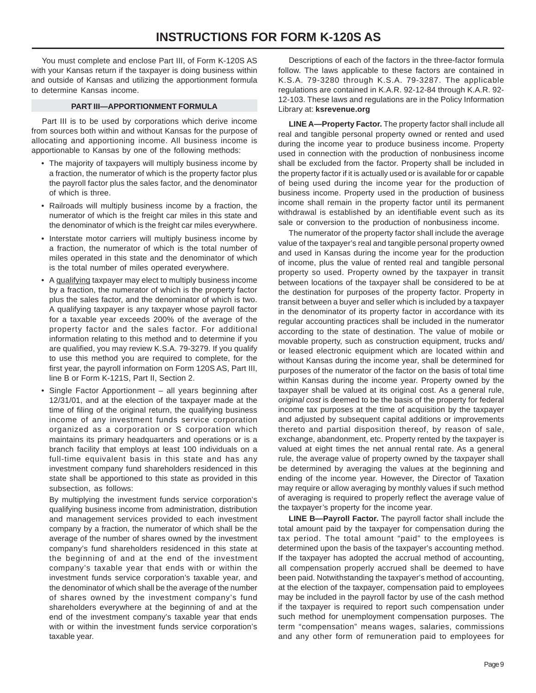You must complete and enclose Part III, of Form K-120S AS with your Kansas return if the taxpayer is doing business within and outside of Kansas and utilizing the apportionment formula to determine Kansas income.

## **PART III—APPORTIONMENT FORMULA**

Part III is to be used by corporations which derive income from sources both within and without Kansas for the purpose of allocating and apportioning income. All business income is apportionable to Kansas by one of the following methods:

- The majority of taxpayers will multiply business income by a fraction, the numerator of which is the property factor plus the payroll factor plus the sales factor, and the denominator of which is three.
- Railroads will multiply business income by a fraction, the numerator of which is the freight car miles in this state and the denominator of which is the freight car miles everywhere.
- Interstate motor carriers will multiply business income by a fraction, the numerator of which is the total number of miles operated in this state and the denominator of which is the total number of miles operated everywhere.
- A qualifying taxpayer may elect to multiply business income by a fraction, the numerator of which is the property factor plus the sales factor, and the denominator of which is two. A qualifying taxpayer is any taxpayer whose payroll factor for a taxable year exceeds 200% of the average of the property factor and the sales factor. For additional information relating to this method and to determine if you are qualified, you may review K.S.A. 79-3279. If you qualify to use this method you are required to complete, for the first year, the payroll information on Form 120S AS, Part III, line B or Form K-121S, Part II, Section 2.
- Single Factor Apportionment all years beginning after 12/31/01, and at the election of the taxpayer made at the time of filing of the original return, the qualifying business income of any investment funds service corporation organized as a corporation or S corporation which maintains its primary headquarters and operations or is a branch facility that employs at least 100 individuals on a full-time equivalent basis in this state and has any investment company fund shareholders residenced in this state shall be apportioned to this state as provided in this subsection, as follows:

By multiplying the investment funds service corporation's qualifying business income from administration, distribution and management services provided to each investment company by a fraction, the numerator of which shall be the average of the number of shares owned by the investment company's fund shareholders residenced in this state at the beginning of and at the end of the investment company's taxable year that ends with or within the investment funds service corporation's taxable year, and the denominator of which shall be the average of the number of shares owned by the investment company's fund shareholders everywhere at the beginning of and at the end of the investment company's taxable year that ends with or within the investment funds service corporation's taxable year.

Descriptions of each of the factors in the three-factor formula follow. The laws applicable to these factors are contained in K.S.A. 79-3280 through K.S.A. 79-3287. The applicable regulations are contained in K.A.R. 92-12-84 through K.A.R. 92 12-103. These laws and regulations are in the Policy Information Library at: **ksrevenue.org** 

**LINE A—Property Factor.** The property factor shall include all real and tangible personal property owned or rented and used during the income year to produce business income. Property used in connection with the production of nonbusiness income shall be excluded from the factor. Property shall be included in the property factor if it is actually used or is available for or capable of being used during the income year for the production of business income. Property used in the production of business income shall remain in the property factor until its permanent withdrawal is established by an identifiable event such as its sale or conversion to the production of nonbusiness income.

The numerator of the property factor shall include the average value of the taxpayer's real and tangible personal property owned and used in Kansas during the income year for the production of income, plus the value of rented real and tangible personal property so used. Property owned by the taxpayer in transit between locations of the taxpayer shall be considered to be at the destination for purposes of the property factor. Property in transit between a buyer and seller which is included by a taxpayer in the denominator of its property factor in accordance with its regular accounting practices shall be included in the numerator according to the state of destination. The value of mobile or movable property, such as construction equipment, trucks and/ or leased electronic equipment which are located within and without Kansas during the income year, shall be determined for purposes of the numerator of the factor on the basis of total time within Kansas during the income year. Property owned by the taxpayer shall be valued at its original cost. As a general rule, *original cost* is deemed to be the basis of the property for federal income tax purposes at the time of acquisition by the taxpayer and adjusted by subsequent capital additions or improvements thereto and partial disposition thereof, by reason of sale, exchange, abandonment, etc. Property rented by the taxpayer is valued at eight times the net annual rental rate. As a general rule, the average value of property owned by the taxpayer shall be determined by averaging the values at the beginning and ending of the income year. However, the Director of Taxation may require or allow averaging by monthly values if such method of averaging is required to properly reflect the average value of the taxpayer's property for the income year.

**LINE B—Payroll Factor.** The payroll factor shall include the total amount paid by the taxpayer for compensation during the tax period. The total amount "paid" to the employees is determined upon the basis of the taxpayer's accounting method. If the taxpayer has adopted the accrual method of accounting, all compensation properly accrued shall be deemed to have been paid. Notwithstanding the taxpayer's method of accounting, at the election of the taxpayer, compensation paid to employees may be included in the payroll factor by use of the cash method if the taxpayer is required to report such compensation under such method for unemployment compensation purposes. The term "compensation" means wages, salaries, commissions and any other form of remuneration paid to employees for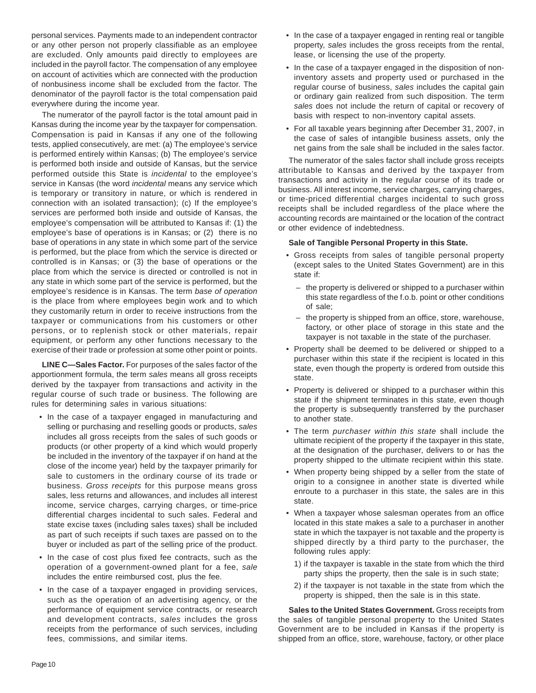personal services. Payments made to an independent contractor or any other person not properly classifiable as an employee are excluded. Only amounts paid directly to employees are included in the payroll factor. The compensation of any employee on account of activities which are connected with the production of nonbusiness income shall be excluded from the factor. The denominator of the payroll factor is the total compensation paid everywhere during the income year.

The numerator of the payroll factor is the total amount paid in Kansas during the income year by the taxpayer for compensation. Compensation is paid in Kansas if any one of the following tests, applied consecutively, are met: (a) The employee's service is performed entirely within Kansas; (b) The employee's service is performed both inside and outside of Kansas, but the service performed outside this State is *incidental* to the employee's service in Kansas (the word *incidental* means any service which is temporary or transitory in nature, or which is rendered in connection with an isolated transaction); (c) If the employee's services are performed both inside and outside of Kansas, the employee's compensation will be attributed to Kansas if: (1) the employee's base of operations is in Kansas; or (2) there is no base of operations in any state in which some part of the service is performed, but the place from which the service is directed or controlled is in Kansas; or (3) the base of operations or the place from which the service is directed or controlled is not in any state in which some part of the service is performed, but the employee's residence is in Kansas. The term *base of operation*  is the place from where employees begin work and to which they customarily return in order to receive instructions from the taxpayer or communications from his customers or other persons, or to replenish stock or other materials, repair equipment, or perform any other functions necessary to the exercise of their trade or profession at some other point or points.

**LINE C—Sales Factor.** For purposes of the sales factor of the apportionment formula, the term *sales* means all gross receipts derived by the taxpayer from transactions and activity in the regular course of such trade or business. The following are rules for determining *sales* in various situations:

- In the case of a taxpayer engaged in manufacturing and selling or purchasing and reselling goods or products, *sales* includes all gross receipts from the sales of such goods or products (or other property of a kind which would properly be included in the inventory of the taxpayer if on hand at the close of the income year) held by the taxpayer primarily for sale to customers in the ordinary course of its trade or business. *Gross receipts* for this purpose means gross sales, less returns and allowances, and includes all interest income, service charges, carrying charges, or time-price differential charges incidental to such sales. Federal and state excise taxes (including sales taxes) shall be included as part of such receipts if such taxes are passed on to the buyer or included as part of the selling price of the product.
- In the case of cost plus fixed fee contracts, such as the operation of a government-owned plant for a fee, *sale* includes the entire reimbursed cost, plus the fee.
- In the case of a taxpayer engaged in providing services, such as the operation of an advertising agency, or the performance of equipment service contracts, or research and development contracts, *sales* includes the gross receipts from the performance of such services, including fees, commissions, and similar items.
- In the case of a taxpayer engaged in renting real or tangible property, *sales* includes the gross receipts from the rental, lease, or licensing the use of the property.
- In the case of a taxpayer engaged in the disposition of noninventory assets and property used or purchased in the regular course of business, *sales* includes the capital gain or ordinary gain realized from such disposition. The term *sales* does not include the return of capital or recovery of basis with respect to non-inventory capital assets.
- For all taxable years beginning after December 31, 2007, in the case of sales of intangible business assets, only the net gains from the sale shall be included in the sales factor.

The numerator of the sales factor shall include gross receipts attributable to Kansas and derived by the taxpayer from transactions and activity in the regular course of its trade or business. All interest income, service charges, carrying charges, or time-priced differential charges incidental to such gross receipts shall be included regardless of the place where the accounting records are maintained or the location of the contract or other evidence of indebtedness.

#### **Sale of Tangible Personal Property in this State.**

- Gross receipts from sales of tangible personal property (except sales to the United States Government) are in this state if:
	- the property is delivered or shipped to a purchaser within this state regardless of the f.o.b. point or other conditions of sale;
	- the property is shipped from an office, store, warehouse, factory, or other place of storage in this state and the taxpayer is not taxable in the state of the purchaser.
- Property shall be deemed to be delivered or shipped to a purchaser within this state if the recipient is located in this state, even though the property is ordered from outside this state.
- Property is delivered or shipped to a purchaser within this state if the shipment terminates in this state, even though the property is subsequently transferred by the purchaser to another state.
- The term *purchaser within this state* shall include the ultimate recipient of the property if the taxpayer in this state, at the designation of the purchaser, delivers to or has the property shipped to the ultimate recipient within this state.
- When property being shipped by a seller from the state of origin to a consignee in another state is diverted while enroute to a purchaser in this state, the sales are in this state.
- When a taxpayer whose salesman operates from an office located in this state makes a sale to a purchaser in another state in which the taxpayer is not taxable and the property is shipped directly by a third party to the purchaser, the following rules apply:
	- 1) if the taxpayer is taxable in the state from which the third party ships the property, then the sale is in such state;
	- 2) if the taxpayer is not taxable in the state from which the property is shipped, then the sale is in this state.

**Sales to the United States Government.** Gross receipts from the sales of tangible personal property to the United States Government are to be included in Kansas if the property is shipped from an office, store, warehouse, factory, or other place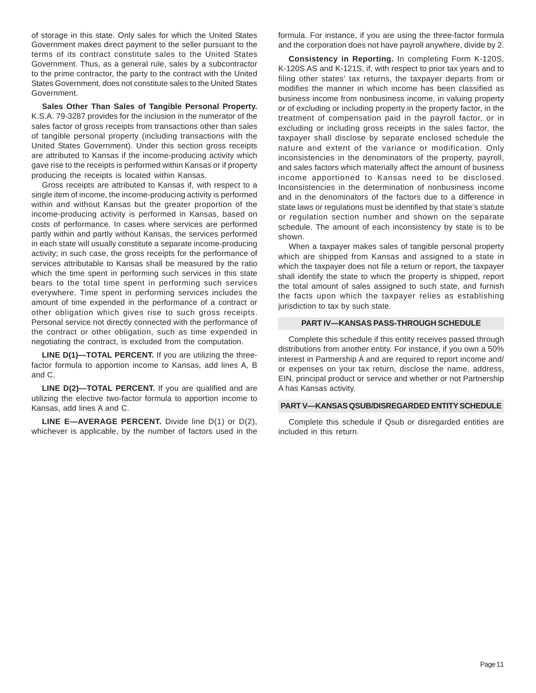of storage in this state. Only sales for which the United States Government makes direct payment to the seller pursuant to the terms of its contract constitute sales to the United States Government. Thus, as a general rule, sales by a subcontractor to the prime contractor, the party to the contract with the United States Government, does not constitute sales to the United States Government.

**Sales Other Than Sales of Tangible Personal Property.**  K.S.A. 79-3287 provides for the inclusion in the numerator of the sales factor of gross receipts from transactions other than sales of tangible personal property (including transactions with the United States Government). Under this section gross receipts are attributed to Kansas if the income-producing activity which gave rise to the receipts is performed within Kansas or if property producing the receipts is located within Kansas.

Gross receipts are attributed to Kansas if, with respect to a single item of income, the income-producing activity is performed within and without Kansas but the greater proportion of the income-producing activity is performed in Kansas, based on costs of performance. In cases where services are performed partly within and partly without Kansas, the services performed in each state will usually constitute a separate income-producing activity; in such case, the gross receipts for the performance of services attributable to Kansas shall be measured by the ratio which the time spent in performing such services in this state bears to the total time spent in performing such services everywhere. Time spent in performing services includes the amount of time expended in the performance of a contract or other obligation which gives rise to such gross receipts. Personal service not directly connected with the performance of the contract or other obligation, such as time expended in negotiating the contract, is excluded from the computation.

**LINE D(1)—TOTAL PERCENT.** If you are utilizing the threefactor formula to apportion income to Kansas, add lines A, B and C.

LINE D(2)-TOTAL PERCENT. If you are qualified and are utilizing the elective two-factor formula to apportion income to Kansas, add lines A and C.

**LINE E—AVERAGE PERCENT.** Divide line D(1) or D(2), whichever is applicable, by the number of factors used in the formula. For instance, if you are using the three-factor formula and the corporation does not have payroll anywhere, divide by 2.

**Consistency in Reporting.** In completing Form K-120S, K-120S AS and K-121S, if, with respect to prior tax years and to filing other states' tax returns, the taxpayer departs from or modifies the manner in which income has been classified as business income from nonbusiness income, in valuing property or of excluding or including property in the property factor, in the treatment of compensation paid in the payroll factor, or in excluding or including gross receipts in the sales factor, the taxpayer shall disclose by separate enclosed schedule the nature and extent of the variance or modification. Only inconsistencies in the denominators of the property, payroll, and sales factors which materially affect the amount of business income apportioned to Kansas need to be disclosed. Inconsistencies in the determination of nonbusiness income and in the denominators of the factors due to a difference in state laws or regulations must be identified by that state's statute or regulation section number and shown on the separate schedule. The amount of each inconsistency by state is to be shown.

When a taxpayer makes sales of tangible personal property which are shipped from Kansas and assigned to a state in which the taxpayer does not file a return or report, the taxpayer shall identify the state to which the property is shipped, report the total amount of sales assigned to such state, and furnish the facts upon which the taxpayer relies as establishing jurisdiction to tax by such state.

#### **PART IV—KANSAS PASS-THROUGH SCHEDULE**

Complete this schedule if this entity receives passed through distributions from another entity. For instance, if you own a 50% interest in Partnership A and are required to report income and/ or expenses on your tax return, disclose the name, address, EIN, principal product or service and whether or not Partnership A has Kansas activity.

## **PART V—KANSAS QSUB/DISREGARDED ENTITY SCHEDULE**

Complete this schedule if Qsub or disregarded entities are included in this return*.*